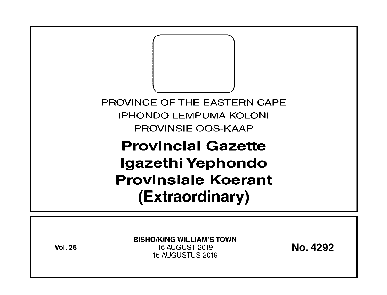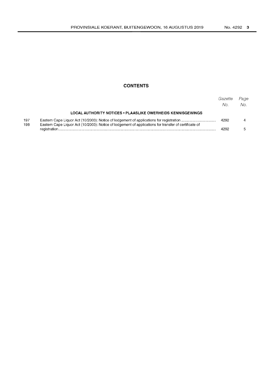# **CONTENTS**

|            |                                                                                                       | Gazette<br>No. | Page<br>No. |
|------------|-------------------------------------------------------------------------------------------------------|----------------|-------------|
|            | LOCAL AUTHORITY NOTICES . PLAASLIKE OWERHEIDS KENNISGEWINGS                                           |                |             |
| 197<br>198 | Eastern Cape Liquor Act (10/2003): Notice of lodgement of applications for transfer of certificate of | 4292           |             |
|            |                                                                                                       | 4292           |             |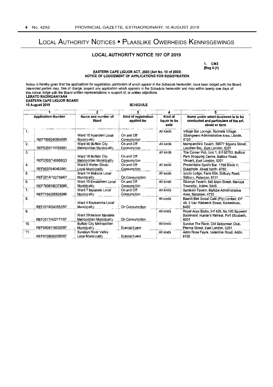# LOCAL AUTHORITY NOTICES • PLAASLIKE OWERHEIDS KENNISGEWINGS

## LOCAL AUTHORITY NOTICE 197 OF 2019

1. CM3 [Reg 4 (1)

### EASTERN CAPE LIQUOR ACT, 2003 (Act No. 10 of 2003) NOTICE OF LODGEMENT OF APPLICATIONS FOR REGISTRATION

Notice is hereby given that the applications for registration, particulars of which appear in the Schedule hereunder, have been lodged with the Board. Interested parties may, free of charge, inspect any application which appears in the Schedule hereunder and may within twenty one days of this notice, lodge with the Board written representations in support of, or written objections. LERATO RADIKOANYANA EASTERN CAPE LIQUOR BOARD 15 August 2019 **SCHEDULE** 1 - --------,- <sup>2</sup>-~ --3- - -,--' 4' ---,--' -5=---- .----.

| <b>EASTERN CAPE LIQUOR BOARD</b><br>15 August 2019<br><b>SCHEDULE</b> |                   |                                                     |                                     |                                 |                                                                                                                 |  |
|-----------------------------------------------------------------------|-------------------|-----------------------------------------------------|-------------------------------------|---------------------------------|-----------------------------------------------------------------------------------------------------------------|--|
| <b>Application Number</b>                                             |                   | 2                                                   |                                     | 4                               |                                                                                                                 |  |
|                                                                       |                   | Name and number of<br>Ward                          | Kind of registration<br>applied for | Kind of<br>liquor to be<br>sold | Name under which business is to be<br>conducted and particulars of the erf,<br>street or farm                   |  |
| 1.                                                                    | REF7508045854085  | Ward 10 Nyandeni Local<br>Municipality              | On and Off<br>Consumption           | All kinds                       | Village Bar Lounge, Sizimele Village,<br>Sibangweni Administrative Area, Libode,<br>5120                        |  |
| 2.                                                                    | REF5204115758081  | Ward 46 Buffalo City<br>Metropolitan Municipality   | On and Off<br>Consumption           | All kinds                       | Mampandla's Tavern, 59577 Mgxina Street,<br>Leaches Bay, East London, 5201                                      |  |
| 3.                                                                    | REF2005/145956/23 | Ward 18 Buffalo City<br>Metropolitan Municipality   | On and Off<br>Consumption           | All kinds                       | The Corner Pub, Unit 1, Erf 60753, Balfour<br>Park Shopping Centre, Balfour Road,<br>Vincent, East London, 5201 |  |
| 4.                                                                    | REF8507040463081  | Ward 5 Walter Sisulu<br>Local Municipality          | On and Off<br>Consumption           | All kinds                       | Phelandaba Sports Bar, 1769 Block H.<br>Dukathole, Aliwal North, 9780                                           |  |
| 5.                                                                    | REF2014/102739/07 | Ward 14 Makana Local<br>Municipality                | On Consumption                      | All kinds                       | Inzolo Lodge, Farm 654, Sidbury Road,<br>Sidbury, Paterson, 6131                                                |  |
| 6.                                                                    | REF7908190379088  | Ward 15 Emalahleni Local<br><b>Municipality</b>     | On and Off<br>Consumption           | All kinds                       | Sibanye Tavem, 540 Main Street, Mavuya<br>Township, Indwe, 5445                                                 |  |
| 7.                                                                    | REF7104305628086  | Ward 7 Matatiele Local<br>Municipality              | On and Off<br>Consumption           | All kinds                       | Samkelo Tavern, Mafube Administrative<br>Area, Matatiele, 4730                                                  |  |
| 8.                                                                    | REF2019/243552/07 | Ward 4 Koukamma Local<br>Municipality               | On Consumption                      | All kinds                       | Baardt Bek Social Café (Pty) Limited, Erf<br>48, 3 Van Riebeeck Street, Kareedouw,<br>6400                      |  |
| 9.                                                                    | REF2017/422171/07 | Ward 39 Nelson Mandela<br>Metropolitan Municipality | On Consumption                      | All kinds                       | Royal Aces Bistro, Erf 426, No.100 Baywest<br>Boulevard, Hunter's Retreat, Port Elizabeth,<br>6001              |  |
| 10.                                                                   | REF6909115002087  | Buffalo City Metropolitan<br>Municipality           | Special Event                       | All kinds                       | Survive The Race, Old Selbornian Club,<br>Pearce Street, East London, 5201                                      |  |
| 11.                                                                   | REF8109060035087  | <b>Sundays River Valley</b><br>Local Municipality   | Special Event                       | All kinds                       | Addo Rose Fayre, Valentine Road, Addo,<br>6105                                                                  |  |